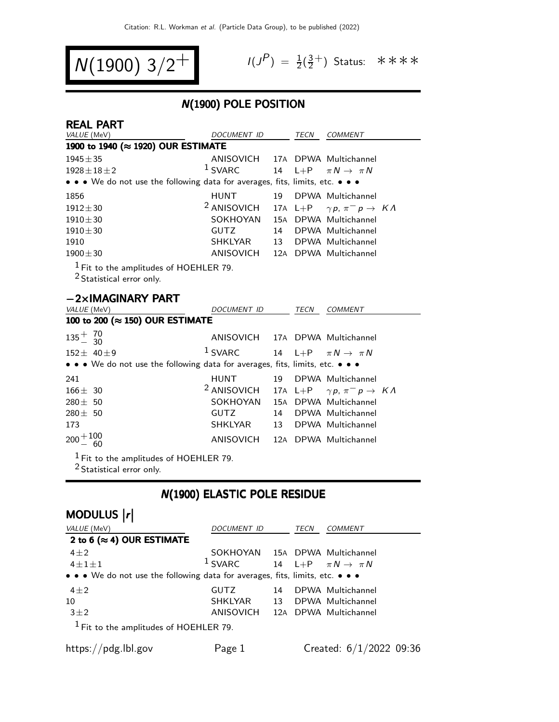$$
N(1900) 3/2^+
$$

REAL PART

$$
I(J^P) = \frac{1}{2}(\frac{3}{2}^+)
$$
 Status:  $***$ 

### N(1900) POLE POSITION

| REAL PAR I<br>VALUE (MeV)                                                        | <i>DOCUMENT ID</i>                                  |     | TECN  | <b>COMMENT</b>                                                    |  |
|----------------------------------------------------------------------------------|-----------------------------------------------------|-----|-------|-------------------------------------------------------------------|--|
| 1900 to 1940 (≈ 1920) OUR ESTIMATE                                               |                                                     |     |       |                                                                   |  |
| $1945 \pm 35$                                                                    | ANISOVICH 17A DPWA Multichannel                     |     |       |                                                                   |  |
| $1928 \pm 18 \pm 2$                                                              | <sup>1</sup> SVARC 14 L+P $\pi N \rightarrow \pi N$ |     |       |                                                                   |  |
| • • • We do not use the following data for averages, fits, limits, etc. • • •    |                                                     |     |       |                                                                   |  |
| 1856                                                                             | <b>HUNT</b>                                         | 19  |       | DPWA Multichannel                                                 |  |
| $1912 \pm 30$                                                                    | <sup>2</sup> ANISOVICH                              |     |       | 17A L+P $\gamma p, \pi^- p \rightarrow K \Lambda$                 |  |
| $1910 \pm 30$                                                                    | SOKHOYAN                                            | 15A |       | DPWA Multichannel                                                 |  |
| $1910 \pm 30$                                                                    | GUTZ                                                | 14  |       | DPWA Multichannel                                                 |  |
| 1910                                                                             | SHKLYAR                                             | 13  |       | DPWA Multichannel                                                 |  |
| $1900 \pm 30$                                                                    | ANISOVICH                                           |     |       | 12A DPWA Multichannel                                             |  |
| $1$ Fit to the amplitudes of HOEHLER 79.<br><sup>2</sup> Statistical error only. |                                                     |     |       |                                                                   |  |
| $-2\times$ IMAGINARY PART                                                        |                                                     |     |       |                                                                   |  |
| $1/111F$ $(M1)$                                                                  | $P_{\text{O}}$                                      |     | TTCMI | $C_{0}$ $\Lambda$ $\Lambda$ $\Lambda$ $\Gamma$ $\Lambda$ $\Gamma$ |  |

| VALUE (MeV)                                                                   | <i>DOCUMENT ID</i>                                                  |  | TECN | <b>COMMENT</b>       |  |
|-------------------------------------------------------------------------------|---------------------------------------------------------------------|--|------|----------------------|--|
| 100 to 200 (≈ 150) OUR ESTIMATE                                               |                                                                     |  |      |                      |  |
| $135^{+}_{-}$ $^{70}_{30}$                                                    | ANISOVICH 17A DPWA Multichannel                                     |  |      |                      |  |
| $152 \pm 40 \pm 9$                                                            | <sup>1</sup> SVARC 14 L+P $\pi N \rightarrow \pi N$                 |  |      |                      |  |
| • • • We do not use the following data for averages, fits, limits, etc. • • • |                                                                     |  |      |                      |  |
| 241                                                                           | <b>HUNT</b>                                                         |  |      | 19 DPWA Multichannel |  |
| $166 \pm 30$                                                                  | <sup>2</sup> ANISOVICH 17A L+P $\gamma p$ , $\pi^- p \to K \Lambda$ |  |      |                      |  |
| $280 \pm 50$                                                                  | SOKHOYAN 15A DPWA Multichannel                                      |  |      |                      |  |
| $280 \pm 50$                                                                  | GUTZ                                                                |  |      | 14 DPWA Multichannel |  |
| 173                                                                           | SHKLYAR                                                             |  |      | 13 DPWA Multichannel |  |
| $200 + 100$<br>- 60                                                           | ANISOVICH 12A DPWA Multichannel                                     |  |      |                      |  |
| $1$ $\Gamma$ to the condition of HOEHLED 70.                                  |                                                                     |  |      |                      |  |

 $^{\rm 1}$  Fit to the amplitudes of HOEHLER 79.

<sup>2</sup> Statistical error only.

### N(1900) ELASTIC POLE RESIDUE

| MODULUS  r                                                                    |                                                     |    |      |                           |
|-------------------------------------------------------------------------------|-----------------------------------------------------|----|------|---------------------------|
| VALUE (MeV)                                                                   | DOCUMENT ID                                         |    | TECN | COMMENT                   |
| 2 to 6 ( $\approx$ 4) OUR ESTIMATE                                            |                                                     |    |      |                           |
| $4 + 2$                                                                       | SOKHOYAN 15A DPWA Multichannel                      |    |      |                           |
| $4 + 1 + 1$                                                                   | <sup>1</sup> SVARC 14 L+P $\pi N \rightarrow \pi N$ |    |      |                           |
| • • • We do not use the following data for averages, fits, limits, etc. • • • |                                                     |    |      |                           |
| $4 + 2$                                                                       | GUTZ.                                               | 14 |      | DPWA Multichannel         |
| 10                                                                            | SHKLYAR                                             | 13 |      | DPWA Multichannel         |
| $3\pm2$                                                                       | ANISOVICH 12A DPWA Multichannel                     |    |      |                           |
| $1$ Fit to the amplitudes of HOEHLER 79.                                      |                                                     |    |      |                           |
| https://pdg.lbl.gov                                                           | Page 1                                              |    |      | Created: $6/1/2022$ 09:36 |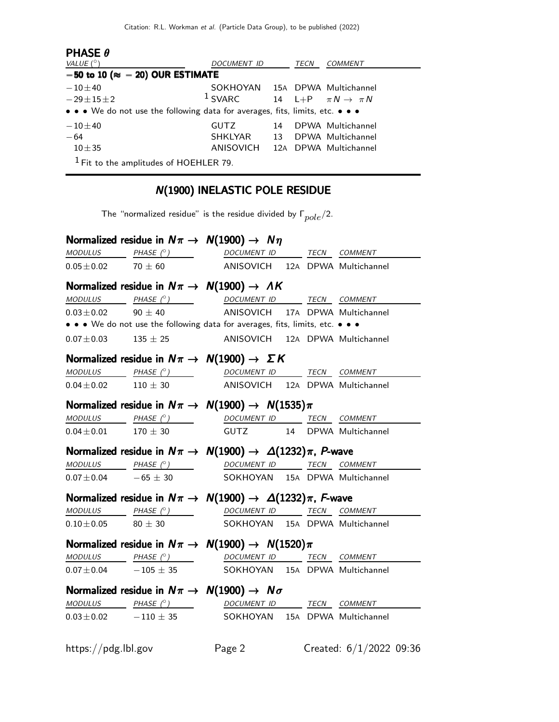| <b>PHASE <math>\theta</math></b>                                              |                                 |    |      |                                  |
|-------------------------------------------------------------------------------|---------------------------------|----|------|----------------------------------|
| VALUE $(^\circ)$                                                              | <i>DOCUMENT ID</i>              |    | TECN | <b>COMMENT</b>                   |
| $-50$ to 10 ( $\approx -20$ ) OUR ESTIMATE                                    |                                 |    |      |                                  |
| $-10\pm 40$                                                                   | SOKHOYAN 15A DPWA Multichannel  |    |      |                                  |
| $-29 \pm 15 \pm 2$                                                            | $1$ SVARC                       |    |      | 14 L+P $\pi N \rightarrow \pi N$ |
| • • • We do not use the following data for averages, fits, limits, etc. • • • |                                 |    |      |                                  |
| $-10 + 40$                                                                    | <b>GUTZ</b>                     | 14 |      | DPWA Multichannel                |
| $-64$                                                                         | SHKLYAR                         | 13 |      | DPWA Multichannel                |
| $10 \pm 35$                                                                   | ANISOVICH 12A DPWA Multichannel |    |      |                                  |
| $1$ Fit to the amplitudes of HOEHLER 79.                                      |                                 |    |      |                                  |

# N(1900) INELASTIC POLE RESIDUE

The "normalized residue" is the residue divided by  $\Gamma_{pole}/2$ .

|                              | Normalized residue in $N\pi \rightarrow N(1900) \rightarrow N\eta$                                                                                                                                                                                                                                                                                                                                                                                                        |  |
|------------------------------|---------------------------------------------------------------------------------------------------------------------------------------------------------------------------------------------------------------------------------------------------------------------------------------------------------------------------------------------------------------------------------------------------------------------------------------------------------------------------|--|
|                              | $\underline{\textit{MODULUS}} \qquad \qquad \underline{\textit{PHASE (}^{\circ}) \qquad \qquad} \qquad \qquad \underline{\textit{DOCUMENT ID}} \qquad \qquad \underline{\textit{TECN}} \quad \underline{\textit{COMMENT}}$                                                                                                                                                                                                                                                |  |
|                              | $0.05 \pm 0.02$ 70 $\pm$ 60 ANISOVICH 12A DPWA Multichannel                                                                                                                                                                                                                                                                                                                                                                                                               |  |
|                              | Normalized residue in $N\pi \rightarrow N(1900) \rightarrow AK$                                                                                                                                                                                                                                                                                                                                                                                                           |  |
|                              | MODULUS PHASE (°) DOCUMENT ID TECN COMMENT                                                                                                                                                                                                                                                                                                                                                                                                                                |  |
|                              | $0.03 \pm 0.02$ 90 $\pm$ 40 ANISOVICH 17A DPWA Multichannel                                                                                                                                                                                                                                                                                                                                                                                                               |  |
|                              | • • • We do not use the following data for averages, fits, limits, etc. • • •                                                                                                                                                                                                                                                                                                                                                                                             |  |
|                              | $0.07 \pm 0.03$ 135 $\pm$ 25 ANISOVICH 12A DPWA Multichannel                                                                                                                                                                                                                                                                                                                                                                                                              |  |
|                              | Normalized residue in $N\pi \rightarrow N(1900) \rightarrow \Sigma K$                                                                                                                                                                                                                                                                                                                                                                                                     |  |
|                              | MODULUS PHASE (°) DOCUMENT ID TECN COMMENT                                                                                                                                                                                                                                                                                                                                                                                                                                |  |
| $0.04 \pm 0.02$ $110 \pm 30$ | ANISOVICH 12A DPWA Multichannel                                                                                                                                                                                                                                                                                                                                                                                                                                           |  |
|                              | Normalized residue in $N\pi \to N(1900) \to N(1535)\pi$                                                                                                                                                                                                                                                                                                                                                                                                                   |  |
|                              | $\begin{array}{ccccccccc}\textit{MODULUS} & & & \textit{PHASE}& @ & & & & \textit{DOCUMENT} & \textit{ID} & & \textit{TECN} & \textit{COMMENT} & \textit{OMMENT} & \textit{OMMENT} & \textit{OMMENT} & & & & \textit{OMMENT} & \textit{OMMENT} & \textit{OMMENT} & \textit{OMMENT} & \textit{OMMENT} & \textit{OMMENT} & \textit{OMMENT} & \textit{OMMENT} & \textit{OMMENT} & \textit{OMMENT} & \textit{OMMENT} & \textit{OMMENT} & \textit{OMMENT} & \textit{OMMENT} &$ |  |
|                              | $0.04 \pm 0.01$ 170 $\pm$ 30 GUTZ 14 DPWA Multichannel                                                                                                                                                                                                                                                                                                                                                                                                                    |  |
|                              | Normalized residue in $N\pi \to N(1900) \to \Delta(1232)\pi$ , P-wave                                                                                                                                                                                                                                                                                                                                                                                                     |  |
|                              |                                                                                                                                                                                                                                                                                                                                                                                                                                                                           |  |
|                              |                                                                                                                                                                                                                                                                                                                                                                                                                                                                           |  |
|                              | $\begin{array}{lll}\n \textit{MODULUS}\quad & \textit{PHASE}&\textit{?)}\\ \n 0.07\pm0.04 \qquad & -65\pm30 \qquad & \textit{SOKHOYAN}\quad 15A \quad\textit{DPWA} \quad\textit{Multichan} \end{array}$<br>SOKHOYAN 15A DPWA Multichannel                                                                                                                                                                                                                                 |  |
|                              |                                                                                                                                                                                                                                                                                                                                                                                                                                                                           |  |
|                              | Normalized residue in $N\pi \to N(1900) \to \Delta(1232)\pi$ , F-wave                                                                                                                                                                                                                                                                                                                                                                                                     |  |
|                              | $\begin{array}{ccccccccc}\textit{MODULUS} & \textit{PHASE}&\textit{?}) & \textit{DOCUMENT ID} & \textit{TER} & \textit{COMMENT} \end{array}$<br>$0.10 \pm 0.05$ 80 $\pm$ 30 SOKHOYAN 15A DPWA Multichannel                                                                                                                                                                                                                                                                |  |
|                              | Normalized residue in $N\pi \to N(1900) \to N(1520)\pi$                                                                                                                                                                                                                                                                                                                                                                                                                   |  |
|                              | MODULUS PHASE (°) DOCUMENT ID TECN COMMENT                                                                                                                                                                                                                                                                                                                                                                                                                                |  |
|                              | $\overline{0.07\pm 0.04}$ - 105 $\pm$ 35 SOKHOYAN 15A DPWA Multichannel                                                                                                                                                                                                                                                                                                                                                                                                   |  |
|                              | Normalized residue in $N\pi \rightarrow N(1900) \rightarrow N\sigma$                                                                                                                                                                                                                                                                                                                                                                                                      |  |
|                              |                                                                                                                                                                                                                                                                                                                                                                                                                                                                           |  |
|                              | $\begin{array}{ccccccccc}\textit{MODULUS} & & & \textit{PHASE}& \textit{?}) & & & \textit{DOCUMENT} & \textit{ID} & & \textit{TECN} & \textit{COMMENT} & \textit{?} \end{array}$<br>$0.03 \pm 0.02$ $-110 \pm 35$ SOKHOYAN 15A DPWA Multichannel                                                                                                                                                                                                                          |  |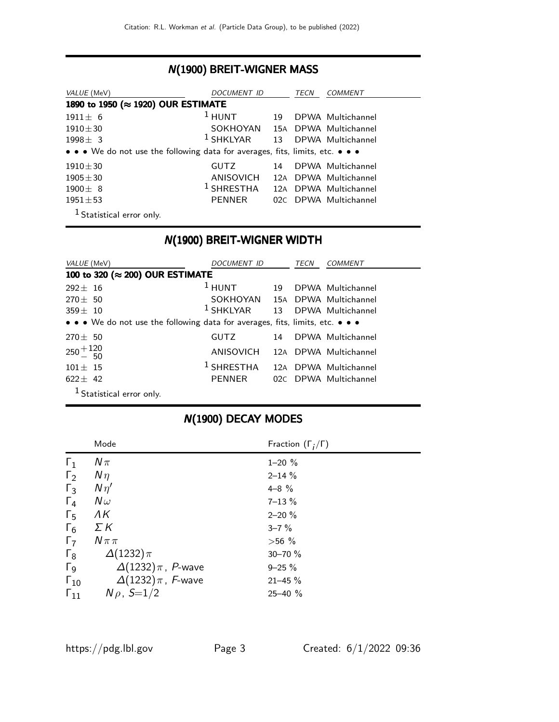#### N(1900) BREIT-WIGNER MASS

| VALUE (MeV)                                                                   | DOCUMENT ID                    |    | TECN | COMMENT               |  |  |
|-------------------------------------------------------------------------------|--------------------------------|----|------|-----------------------|--|--|
| 1890 to 1950 (≈ 1920) OUR ESTIMATE                                            |                                |    |      |                       |  |  |
| $1911 \pm 6$                                                                  | $1$ HUNT                       | 19 |      | DPWA Multichannel     |  |  |
| $1910 \pm 30$                                                                 | SOKHOYAN 15A DPWA Multichannel |    |      |                       |  |  |
| $1998 + 3$                                                                    | $1$ SHKLYAR $13$               |    |      | DPWA Multichannel     |  |  |
| • • • We do not use the following data for averages, fits, limits, etc. • • • |                                |    |      |                       |  |  |
| $1910 \pm 30$                                                                 | <b>GUTZ</b>                    | 14 |      | DPWA Multichannel     |  |  |
| $1905 \pm 30$                                                                 | ANISOVICH                      |    |      | 12A DPWA Multichannel |  |  |
| $1900 \pm 8$                                                                  | $1$ SHRESTHA                   |    |      | 12A DPWA Multichannel |  |  |
| $1951 \pm 53$                                                                 | <b>PENNER</b>                  |    |      | 02C DPWA Multichannel |  |  |
| <sup>1</sup> Statistical error only.                                          |                                |    |      |                       |  |  |

N(1900) BREIT-WIGNER WIDTH

| VALUE (MeV)                                                                   | DOCUMENT ID                    |     | TECN | COMMENT               |
|-------------------------------------------------------------------------------|--------------------------------|-----|------|-----------------------|
| 100 to 320 (≈ 200) OUR ESTIMATE                                               |                                |     |      |                       |
| $292 + 16$                                                                    | $1$ HUNT                       | 19  |      | DPWA Multichannel     |
| $270 \pm 50$                                                                  | SOKHOYAN 15A DPWA Multichannel |     |      |                       |
| $359 \pm 10$                                                                  | $^1$ SHKLYAR $\qquad$ 13       |     |      | DPWA Multichannel     |
| • • • We do not use the following data for averages, fits, limits, etc. • • • |                                |     |      |                       |
| $270 \pm 50$                                                                  | <b>GUTZ</b>                    | 14  |      | DPWA Multichannel     |
| $250 + 120$                                                                   | ANISOVICH                      |     |      | 12A DPWA Multichannel |
| $101 \pm 15$                                                                  | $^1$ SHRESTHA                  |     |      | 12A DPWA Multichannel |
| $622 \pm 42$                                                                  | <b>PENNER</b>                  | 02C |      | DPWA Multichannel     |
| $1$ Statistical error only.                                                   |                                |     |      |                       |

|               | Mode                       | Fraction $(\Gamma_i/\Gamma)$ |
|---------------|----------------------------|------------------------------|
| $\Gamma_1$    | $N\pi$                     | $1 - 20 \%$                  |
| $\Gamma_2$    | $N\eta$                    | $2 - 14%$                    |
| $\Gamma_3$    | $N\eta'$                   | $4 - 8$ %                    |
| $\Gamma_4$    | $N\omega$                  | $7 - 13 \%$                  |
| $\Gamma_5$    | ΛK                         | $2 - 20%$                    |
| $\Gamma_6$    | ΣΚ                         | $3 - 7 \%$                   |
| $\Gamma$      | $N \pi \pi$                | $>56\%$                      |
| $\Gamma_8$    | $\Delta(1232)\pi$          | 30-70 %                      |
| $\Gamma_9$    | $\Delta(1232)\pi$ , P-wave | $9 - 25 \%$                  |
| $\Gamma_{10}$ | $\Delta(1232)\pi$ , F-wave | $21 - 45 \%$                 |
| $\Gamma_{11}$ | $N \rho$ , $S=1/2$         | $25 - 40 \%$                 |

# N(1900) DECAY MODES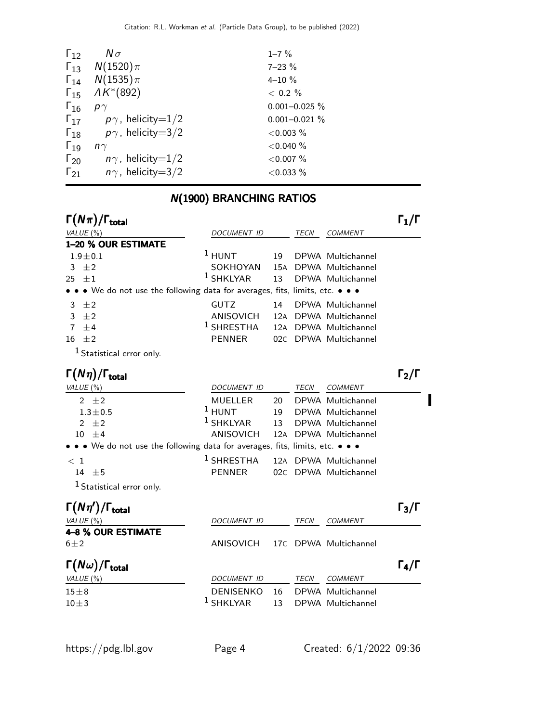| $\Gamma_{12}$ | $N\sigma$                              | $1 - 7 \%$         |
|---------------|----------------------------------------|--------------------|
|               | $\Gamma_{13}$ $N(1520)\pi$             | $7 - 23 \%$        |
|               | $\Gamma_{14}$ $N(1535)\pi$             | $4 - 10%$          |
|               | $\Gamma_{15}$ $\Lambda K^{*}(892)$     | $< 0.2 \%$         |
| $\Gamma_{16}$ | $p\gamma$                              | $0.001 - 0.025 \%$ |
|               | $\Gamma_{17}$ $p\gamma$ , helicity=1/2 | $0.001 - 0.021 \%$ |
|               | $\Gamma_{18}$ $p\gamma$ , helicity=3/2 | $<$ 0.003 $%$      |
| $\Gamma_{19}$ | $n\gamma$                              | ${<}0.040%$        |
| $\Gamma_{20}$ | $n\gamma$ , helicity=1/2               | $<$ 0.007 $%$      |
| $\Gamma_{21}$ | $n\gamma$ , helicity $=$ 3/2           | $<$ 0.033 $%$      |

# N(1900) BRANCHING RATIOS

| $\Gamma(N\pi)/\Gamma_{\rm total}$                                           |                    |     |             |                       | $\mathsf{\Gamma}_1/\mathsf{\Gamma}$ |
|-----------------------------------------------------------------------------|--------------------|-----|-------------|-----------------------|-------------------------------------|
| VALUE (%)                                                                   | DOCUMENT ID        |     | TECN        | <b>COMMENT</b>        |                                     |
| 1-20 % OUR ESTIMATE                                                         |                    |     |             |                       |                                     |
| $1.9 \pm 0.1$                                                               | $^1$ HUNT          | 19  |             | DPWA Multichannel     |                                     |
| $\pm 2$<br>3                                                                | SOKHOYAN           |     |             | 15A DPWA Multichannel |                                     |
| 25<br>$\pm 1$                                                               | $1$ SHKLYAR        | 13  |             | DPWA Multichannel     |                                     |
| • We do not use the following data for averages, fits, limits, etc. • • •   |                    |     |             |                       |                                     |
| ±2<br>3                                                                     | <b>GUTZ</b>        | 14  |             | DPWA Multichannel     |                                     |
| 3<br>$\pm 2$                                                                | <b>ANISOVICH</b>   |     |             | 12A DPWA Multichannel |                                     |
| $\overline{7}$<br>$\pm 4$                                                   | $^1$ SHRESTHA      |     |             | 12A DPWA Multichannel |                                     |
| 16<br>$\pm 2$                                                               | <b>PENNER</b>      |     |             | 02C DPWA Multichannel |                                     |
| $1$ Statistical error only.                                                 |                    |     |             |                       |                                     |
| $\Gamma(N\eta)/\Gamma_{\rm total}$                                          |                    |     |             |                       | $\mathsf{\Gamma}_2/\mathsf{\Gamma}$ |
| VALUE (%)                                                                   | DOCUMENT ID        |     | TECN        | <b>COMMENT</b>        |                                     |
| 2 $\pm 2$                                                                   | <b>MUELLER</b>     | 20  |             | DPWA Multichannel     |                                     |
| $1.3 \pm 0.5$                                                               | $1$ HUNT           | 19  |             | DPWA Multichannel     |                                     |
| ±2<br>$\mathcal{P}$                                                         | $1$ SHKLYAR        | 13  |             | DPWA Multichannel     |                                     |
| 10 <sup>1</sup><br>$+4$                                                     | <b>ANISOVICH</b>   | 12A |             | DPWA Multichannel     |                                     |
| • • We do not use the following data for averages, fits, limits, etc. • • • |                    |     |             |                       |                                     |
| $\,<\,1$                                                                    | $1$ SHRESTHA       | 12A |             | DPWA Multichannel     |                                     |
| 14 $\pm$ 5                                                                  | <b>PENNER</b>      | 02C |             | DPWA Multichannel     |                                     |
| <sup>1</sup> Statistical error only.                                        |                    |     |             |                       |                                     |
| $\Gamma(N\eta')/\Gamma_{\rm total}$                                         |                    |     |             |                       | $\Gamma_3/\Gamma$                   |
| VALUE (%)                                                                   | <b>DOCUMENT ID</b> |     | TECN        | <b>COMMENT</b>        |                                     |
| 4-8 % OUR ESTIMATE                                                          |                    |     |             |                       |                                     |
| $6 \pm 2$                                                                   | <b>ANISOVICH</b>   | 17C |             | DPWA Multichannel     |                                     |
| $\Gamma(N\omega)/\Gamma_{\rm total}$                                        |                    |     |             |                       | $\Gamma_4/\Gamma$                   |
| VALUE (%)                                                                   | DOCUMENT ID        |     | <b>TECN</b> | <b>COMMENT</b>        |                                     |
| $15\pm8$                                                                    | <b>DENISENKO</b>   | 16  |             | DPWA Multichannel     |                                     |
| $10\pm3$                                                                    | $1$ SHKLYAR        | 13  |             | DPWA Multichannel     |                                     |
|                                                                             |                    |     |             |                       |                                     |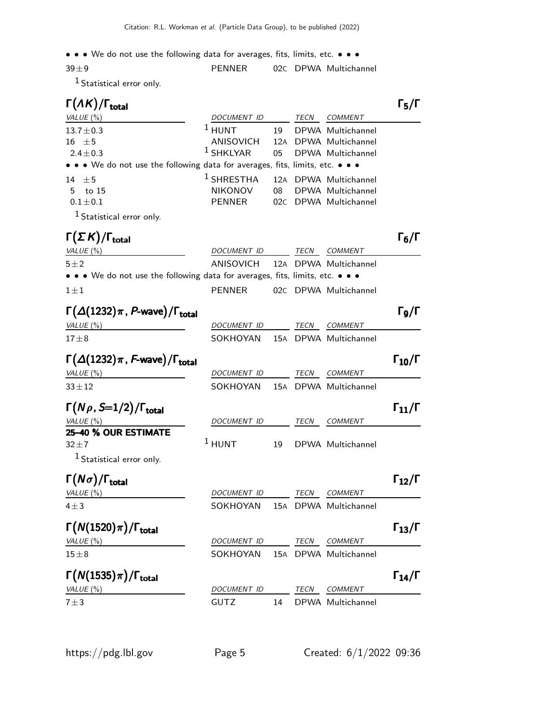• • • We do not use the following data for averages, fits, limits, etc. • • •

| $39\pm9$                    | PFNNFR |  | 02C DPWA Multichannel |
|-----------------------------|--------|--|-----------------------|
| $1$ Statistical error only. |        |  |                       |

| $\Gamma(\Lambda K)/\Gamma_{\rm total}$                                        |                                |    |      |                                         | $\Gamma_5/\Gamma$                      |
|-------------------------------------------------------------------------------|--------------------------------|----|------|-----------------------------------------|----------------------------------------|
| VALUE $(\%)$                                                                  | DOCUMENT ID                    |    |      | TECN COMMENT                            |                                        |
| $13.7 \pm 0.3$                                                                | $1$ HUNT                       | 19 |      | DPWA Multichannel                       |                                        |
| $16 \pm 5$                                                                    | ANISOVICH                      |    |      | 12A DPWA Multichannel                   |                                        |
| $2.4 \pm 0.3$                                                                 | $1$ SHKLYAR                    | 05 |      | DPWA Multichannel                       |                                        |
| • • • We do not use the following data for averages, fits, limits, etc. • • • |                                |    |      |                                         |                                        |
| 14 $\pm$ 5                                                                    | $1$ SHRESTHA                   |    |      | 12A DPWA Multichannel                   |                                        |
| to 15<br>5                                                                    | <b>NIKONOV</b>                 | 08 |      | DPWA Multichannel                       |                                        |
| $0.1 \pm 0.1$                                                                 | <b>PENNER</b>                  |    |      | 02C DPWA Multichannel                   |                                        |
| $1$ Statistical error only.                                                   |                                |    |      |                                         |                                        |
| $\Gamma(\Sigma K)/\Gamma_{\rm total}$                                         |                                |    |      |                                         | $\Gamma_6/\Gamma$                      |
| VALUE (%)                                                                     | DOCUMENT ID                    |    | TECN | <b>COMMENT</b>                          |                                        |
| $5 \pm 2$                                                                     | ANISOVICH                      |    |      | 12A DPWA Multichannel                   |                                        |
| • • • We do not use the following data for averages, fits, limits, etc. • • • |                                |    |      |                                         |                                        |
| $1 \pm 1$                                                                     | <b>PENNER</b>                  |    |      | 02C DPWA Multichannel                   |                                        |
| $\Gamma(\Delta(1232)\pi, P$ -wave)/ $\Gamma_{\text{total}}$                   |                                |    |      |                                         | $\Gamma$ 9/Г                           |
| VALUE $(\%)$                                                                  | DOCUMENT ID                    |    | TECN | COMMENT                                 |                                        |
| $17 \pm 8$                                                                    | SOKHOYAN                       |    |      | 15A DPWA Multichannel                   |                                        |
| $\Gamma(\Delta(1232)\pi$ , F-wave)/ $\Gamma_{\rm total}$                      |                                |    |      |                                         | $\Gamma_{10}/\Gamma$                   |
| VALUE $(\%)$                                                                  | <u>DOCUMENT ID</u>             |    |      | TECN COMMENT                            |                                        |
| $33 \pm 12$                                                                   | SOKHOYAN                       |    |      | 15A DPWA Multichannel                   |                                        |
| $\Gamma(N\rho, S=1/2)/\Gamma_{\rm total}$                                     |                                |    |      |                                         | $\mathsf{\Gamma}_{11}/\mathsf{\Gamma}$ |
| VALUE (%)                                                                     | DOCUMENT ID                    |    | TECN | <b>COMMENT</b>                          |                                        |
| 25-40 % OUR ESTIMATE                                                          |                                |    |      |                                         |                                        |
| $32 + 7$                                                                      | $1$ HUNT                       | 19 |      | DPWA Multichannel                       |                                        |
| $1$ Statistical error only.                                                   |                                |    |      |                                         |                                        |
| $\Gamma(N\sigma)/\Gamma_{\rm total}$                                          |                                |    |      |                                         | $\Gamma_{12}/\Gamma$                   |
| VALUE (%)                                                                     | DOCUMENT ID                    |    | TECN | COMMENT                                 |                                        |
| $4\pm3$                                                                       | SOKHOYAN 15A DPWA Multichannel |    |      |                                         |                                        |
| $\Gamma(N(1520)\pi)/\Gamma_{\rm total}$                                       |                                |    |      |                                         | $\Gamma_{13}/\Gamma$                   |
|                                                                               |                                |    |      |                                         |                                        |
| VALUE $(\%)$<br>$15 \pm 8$                                                    | DOCUMENT ID<br>SOKHOYAN        |    | TECN | <b>COMMENT</b><br>15A DPWA Multichannel |                                        |
|                                                                               |                                |    |      |                                         |                                        |
| $\Gamma(N(1535)\pi)/\Gamma_{\rm total}$                                       |                                |    |      |                                         | $\Gamma_{14}/\Gamma$                   |
| VALUE (%)                                                                     | DOCUMENT ID                    |    | TECN | COMMENT                                 |                                        |
| $7 + 3$                                                                       | <b>GUTZ</b>                    | 14 |      | DPWA Multichannel                       |                                        |
|                                                                               |                                |    |      |                                         |                                        |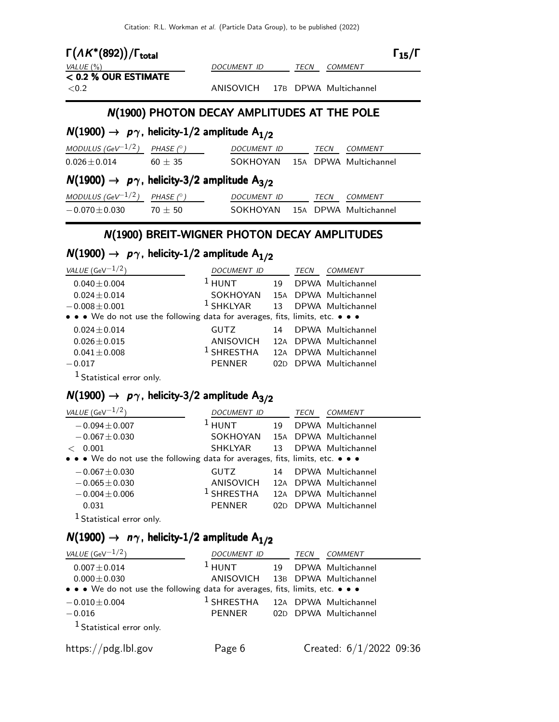Citation: R.L. Workman et al. (Particle Data Group), to be published (2022)

| $\Gamma(A K^*(892))/\Gamma_{\text{total}}$                              |                  | DOCUMENT ID                                 |  | TECN |      | <b>COMMENT</b>                 | $\Gamma_{15}/\Gamma$ |
|-------------------------------------------------------------------------|------------------|---------------------------------------------|--|------|------|--------------------------------|----------------------|
| VALUE $(\%)$<br>$<$ 0.2 % OUR ESTIMATE                                  |                  |                                             |  |      |      |                                |                      |
| ${<}0.2$                                                                |                  | ANISOVICH 17B DPWA Multichannel             |  |      |      |                                |                      |
|                                                                         |                  | N(1900) PHOTON DECAY AMPLITUDES AT THE POLE |  |      |      |                                |                      |
| $N(1900) \rightarrow p\gamma$ , helicity-1/2 amplitude A <sub>1/2</sub> |                  |                                             |  |      |      |                                |                      |
| MODULUS (GeV $^{-1/2}$ ) PHASE (° )                                     |                  | DOCUMENT ID TECN                            |  |      |      | <b>COMMENT</b>                 |                      |
| $0.026 \pm 0.014$ 60 $\pm$ 35                                           |                  |                                             |  |      |      | SOKHOYAN 15A DPWA Multichannel |                      |
| $N(1900) \rightarrow p\gamma$ , helicity-3/2 amplitude A <sub>3/2</sub> |                  |                                             |  |      |      |                                |                      |
| MODULUS (GeV $^{-1/2}$ )                                                | PHASE $(^\circ)$ | DOCUMENT ID                                 |  |      | TECN | <b>COMMENT</b>                 |                      |
| $-0.070 \pm 0.030$ 70 $\pm$ 50                                          |                  |                                             |  |      |      | SOKHOYAN 15A DPWA Multichannel |                      |

### N(1900) BREIT-WIGNER PHOTON DECAY AMPLITUDES

### $N(1900) \rightarrow p\gamma$ , helicity-1/2 amplitude  $A_{1/2}$

| VALUE (GeV $^{-1/2}$ )                                                        | <i>DOCUMENT ID</i> |    | TECN | COMMENT               |
|-------------------------------------------------------------------------------|--------------------|----|------|-----------------------|
| $0.040 \pm 0.004$                                                             | $1$ HUNT           | 19 |      | DPWA Multichannel     |
| $0.024 \pm 0.014$                                                             | SOKHOYAN           |    |      | 15A DPWA Multichannel |
| $-0.008 \pm 0.001$                                                            | SHKLYAR            | 13 |      | DPWA Multichannel     |
| • • • We do not use the following data for averages, fits, limits, etc. • • • |                    |    |      |                       |
| $0.024 \pm 0.014$                                                             | <b>GUTZ</b>        | 14 |      | DPWA Multichannel     |
| $0.026 \pm 0.015$                                                             | ANISOVICH          |    |      | 12A DPWA Multichannel |
| $0.041 \pm 0.008$                                                             | $1$ SHRESTHA       |    |      | 12A DPWA Multichannel |
| $-0.017$                                                                      | <b>PENNER</b>      |    |      | 02D DPWA Multichannel |
| <sup>1</sup> Statistical error only.                                          |                    |    |      |                       |

### $N(1900) \rightarrow p\gamma$ , helicity-3/2 amplitude A<sub>3/2</sub>

| VALUE (GeV $^{-1/2}$ )                                                        | <i>DOCUMENT ID</i> |      | TECN | <i>COMMENT</i>        |
|-------------------------------------------------------------------------------|--------------------|------|------|-----------------------|
| $-0.094 \pm 0.007$                                                            | <b>HUNT</b>        | 19   |      | DPWA Multichannel     |
| $-0.067 \pm 0.030$                                                            | SOKHOYAN           |      |      | 15A DPWA Multichannel |
| 0.001                                                                         | SHKLYAR            | 13   |      | DPWA Multichannel     |
| • • • We do not use the following data for averages, fits, limits, etc. • • • |                    |      |      |                       |
| $-0.067 \pm 0.030$                                                            | GUTZ.              | 14   |      | DPWA Multichannel     |
| $-0.065 \pm 0.030$                                                            | ANISOVICH          | 12A  |      | DPWA Multichannel     |
| $-0.004 \pm 0.006$                                                            | $1$ SHRESTHA       |      |      | 12A DPWA Multichannel |
| 0.031                                                                         | <b>PENNER</b>      | 02D. |      | DPWA Multichannel     |
| Statistical error only.                                                       |                    |      |      |                       |

### $N(1900) \rightarrow n\gamma$ , helicity-1/2 amplitude A<sub>1/2</sub>

| VALUE (GeV $^{-1/2}$ )                                                        | <i>DOCUMENT ID</i>                          |    | TECN | <b>COMMENT</b>            |
|-------------------------------------------------------------------------------|---------------------------------------------|----|------|---------------------------|
| $0.007 \pm 0.014$                                                             | $1$ HUNT                                    | 19 |      | DPWA Multichannel         |
| $0.000 \pm 0.030$                                                             | ANISOVICH 13B DPWA Multichannel             |    |      |                           |
| • • • We do not use the following data for averages, fits, limits, etc. • • • |                                             |    |      |                           |
| $-0.010 \pm 0.004$                                                            | <sup>1</sup> SHRESTHA 12A DPWA Multichannel |    |      |                           |
| $-0.016$                                                                      | PENNER                                      |    |      | 02D DPWA Multichannel     |
| <sup>1</sup> Statistical error only.                                          |                                             |    |      |                           |
| https://pdg.lbl.gov                                                           | Page 6                                      |    |      | Created: $6/1/2022$ 09:36 |